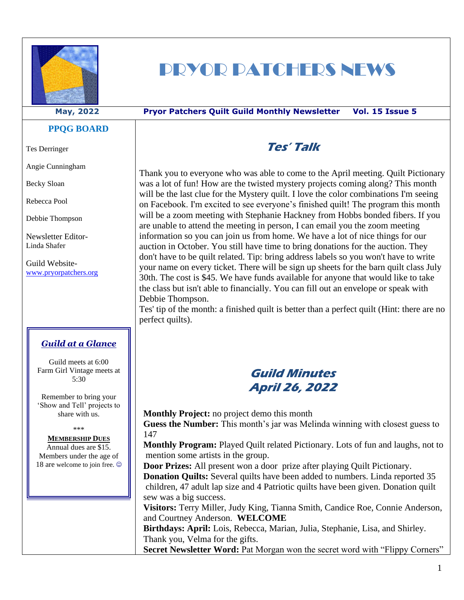

# PRYOR PATCHERS NEWS

#### **May, 2022 Pryor Patchers Quilt Guild Monthly Newsletter Vol. 15 Issue 5**

#### **PPQG BOARD**

Tes Derringer

Angie Cunningham

Becky Sloan

Rebecca Pool

Debbie Thompson

Newsletter Editor-Linda Shafer

Guild Website[www.pryorpatchers.org](http://www.pryorpatchers.org/)

#### *Guild at a Glance*

Guild meets at 6:00 Farm Girl Vintage meets at 5:30

Remember to bring your 'Show and Tell' projects to share with us.

\*\*\*

#### **MEMBERSHIP DUES**

Annual dues are \$15. Members under the age of 18 are welcome to join free.  $\odot$ 

# **Tes' Talk**

Thank you to everyone who was able to come to the April meeting. Quilt Pictionary was a lot of fun! How are the twisted mystery projects coming along? This month will be the last clue for the Mystery quilt. I love the color combinations I'm seeing on Facebook. I'm excited to see everyone's finished quilt! The program this month will be a zoom meeting with Stephanie Hackney from Hobbs bonded fibers. If you are unable to attend the meeting in person, I can email you the zoom meeting information so you can join us from home. We have a lot of nice things for our auction in October. You still have time to bring donations for the auction. They don't have to be quilt related. Tip: bring address labels so you won't have to write your name on every ticket. There will be sign up sheets for the barn quilt class July 30th. The cost is \$45. We have funds available for anyone that would like to take the class but isn't able to financially. You can fill out an envelope or speak with Debbie Thompson.

Tes' tip of the month: a finished quilt is better than a perfect quilt (Hint: there are no perfect quilts).

## **Guild Minutes April 26, 2022**

**Monthly Project:** no project demo this month

**Guess the Number:** This month's jar was Melinda winning with closest guess to 147

**Monthly Program:** Played Quilt related Pictionary. Lots of fun and laughs, not to mention some artists in the group.

**Door Prizes:** All present won a door prize after playing Quilt Pictionary.

**Donation Quilts:** Several quilts have been added to numbers. Linda reported 35 children, 47 adult lap size and 4 Patriotic quilts have been given. Donation quilt sew was a big success.

**Visitors:** Terry Miller, Judy King, Tianna Smith, Candice Roe, Connie Anderson, and Courtney Anderson. **WELCOME**

**Birthdays: April:** Lois, Rebecca, Marian, Julia, Stephanie, Lisa, and Shirley. Thank you, Velma for the gifts.

**Secret Newsletter Word: Pat Morgan won the secret word with "Flippy Corners"**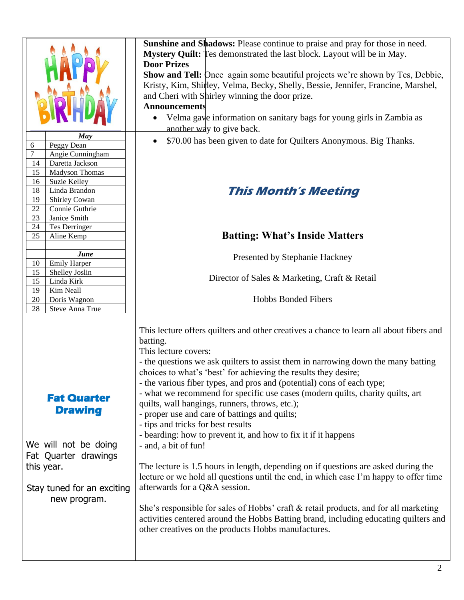|                 | May                  |
|-----------------|----------------------|
| 6               | Peggy Dean           |
| 7               | Angie Cunningham     |
| 14              | Daretta Jackson      |
| 15              | Madyson Thomas       |
| 16              | Suzie Kelley         |
| 18              | Linda Brandon        |
| <u>19</u>       | <b>Shirley Cowan</b> |
| 22              | Connie Guthrie       |
| $\overline{23}$ | Janice Smith         |
| $\overline{24}$ | Tes Derringer        |
| $\overline{25}$ | Aline Kemp           |
|                 |                      |
|                 | June                 |
| 10              | Emily Harper         |
| 15              | Shelley Joslin       |
| 15              | Linda Kirk           |
| 19              | Kim Neall            |
| 20              | Doris Wagnon         |
| 28              | Steve Anna True      |

#### **Sunshine and Shadows:** Please continue to praise and pray for those in need. **Mystery Quilt:** Tes demonstrated the last block. Layout will be in May. **Door Prizes**

**Show and Tell:** Once again some beautiful projects we're shown by Tes, Debbie, Kristy, Kim, Shirley, Velma, Becky, Shelly, Bessie, Jennifer, Francine, Marshel, and Cheri with Shirley winning the door prize.

#### **Announcements**

- Velma gave information on sanitary bags for young girls in Zambia as another way to give back.
- \$70.00 has been given to date for Quilters Anonymous. Big Thanks.

# **This Month's Meeting**

### **Batting: What's Inside Matters**

Presented by Stephanie Hackney

Director of Sales & Marketing, Craft & Retail

Hobbs Bonded Fibers

This lecture offers quilters and other creatives a chance to learn all about fibers and batting.

This lecture covers:

- the questions we ask quilters to assist them in narrowing down the many batting choices to what's 'best' for achieving the results they desire;

- the various fiber types, and pros and (potential) cons of each type;

- what we recommend for specific use cases (modern quilts, charity quilts, art quilts, wall hangings, runners, throws, etc.);

- proper use and care of battings and quilts;
- tips and tricks for best results
- bearding: how to prevent it, and how to fix it if it happens
- and, a bit of fun!

The lecture is 1.5 hours in length, depending on if questions are asked during the lecture or we hold all questions until the end, in which case I'm happy to offer time afterwards for a Q&A session.

She's responsible for sales of Hobbs' craft & retail products, and for all marketing activities centered around the Hobbs Batting brand, including educating quilters and other creatives on the products Hobbs manufactures.

# **Drawing**

**Fat Quarter** 

We will not be doing Fat Quarter drawings this year.

Stay tuned for an exciting new program.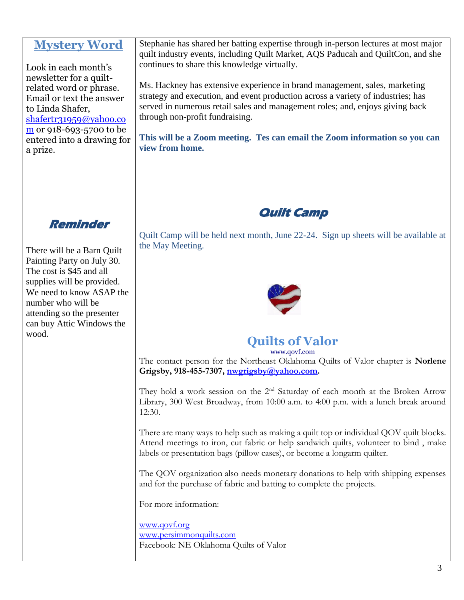#### **Mystery Word**

Look in each month's newsletter for a quiltrelated word or phrase. Email or text the answer to Linda Shafer, [shafertr31959@yahoo.co](mailto:shafertr31959@yahoo.com) [m](mailto:shafertr31959@yahoo.com) or 918-693-5700 to be entered into a drawing for a prize.

**Reminder** 

There will be a Barn Quilt Painting Party on July 30. The cost is \$45 and all supplies will be provided. We need to know ASAP the number who will be attending so the presenter can buy Attic Windows the wood.

Stephanie has shared her batting expertise through in-person lectures at most major quilt industry events, including Quilt Market, AQS Paducah and QuiltCon, and she continues to share this knowledge virtually.

Ms. Hackney has extensive experience in brand management, sales, marketing strategy and execution, and event production across a variety of industries; has served in numerous retail sales and management roles; and, enjoys giving back through non-profit fundraising.

**This will be a Zoom meeting. Tes can email the Zoom information so you can view from home.**

# **Quilt Camp**

Quilt Camp will be held next month, June 22-24. Sign up sheets will be available at the May Meeting.



# **Quilts of Valor**

[www.qovf.com](http://www.qovf.com/) The contact person for the Northeast Oklahoma Quilts of Valor chapter is **Norlene Grigsby, 918-455-7307, [nwgrigsby@yahoo.com.](mailto:nwgrigsby@yahoo.com)** 

They hold a work session on the 2<sup>nd</sup> Saturday of each month at the Broken Arrow Library, 300 West Broadway, from 10:00 a.m. to 4:00 p.m. with a lunch break around 12:30.

There are many ways to help such as making a quilt top or individual QOV quilt blocks. Attend meetings to iron, cut fabric or help sandwich quilts, volunteer to bind , make labels or presentation bags (pillow cases), or become a longarm quilter.

The QOV organization also needs monetary donations to help with shipping expenses and for the purchase of fabric and batting to complete the projects.

For more information:

[www.qovf.org](http://www.qovf.org/) [www.persimmonquilts.com](http://www.persimmonquilts.com/) Facebook: NE Oklahoma Quilts of Valor